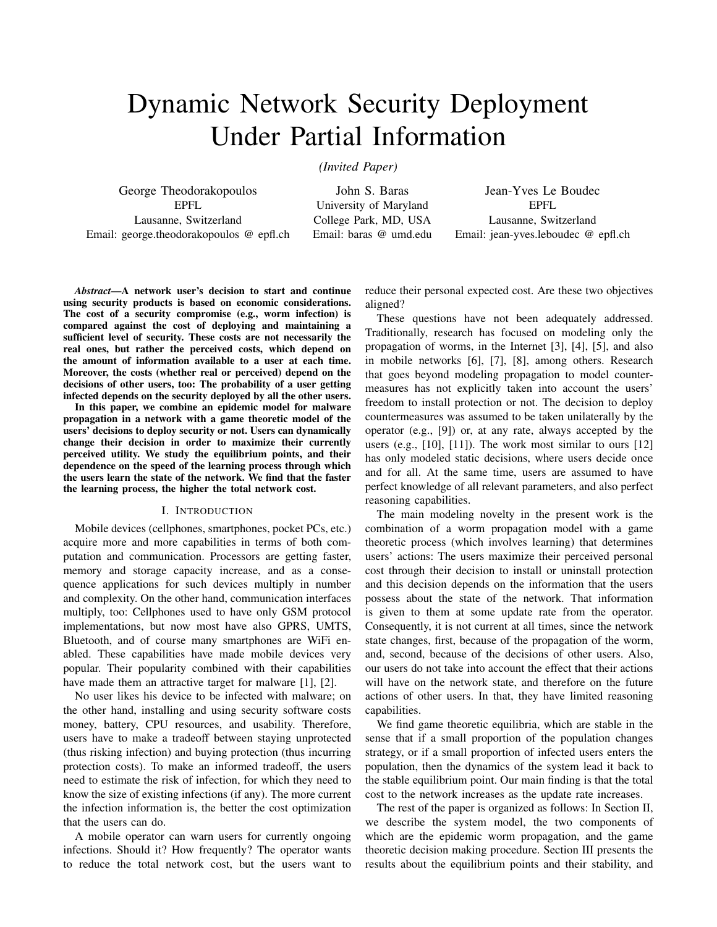# Dynamic Network Security Deployment Under Partial Information

*(Invited Paper)*

George Theodorakopoulos EPFL Lausanne, Switzerland Email: george.theodorakopoulos @ epfl.ch

John S. Baras University of Maryland College Park, MD, USA Email: baras @ umd.edu

Jean-Yves Le Boudec EPFL Lausanne, Switzerland Email: jean-yves.leboudec @ epfl.ch

*Abstract*—A network user's decision to start and continue using security products is based on economic considerations. The cost of a security compromise (e.g., worm infection) is compared against the cost of deploying and maintaining a sufficient level of security. These costs are not necessarily the real ones, but rather the perceived costs, which depend on the amount of information available to a user at each time. Moreover, the costs (whether real or perceived) depend on the decisions of other users, too: The probability of a user getting infected depends on the security deployed by all the other users.

In this paper, we combine an epidemic model for malware propagation in a network with a game theoretic model of the users' decisions to deploy security or not. Users can dynamically change their decision in order to maximize their currently perceived utility. We study the equilibrium points, and their dependence on the speed of the learning process through which the users learn the state of the network. We find that the faster the learning process, the higher the total network cost.

# I. INTRODUCTION

Mobile devices (cellphones, smartphones, pocket PCs, etc.) acquire more and more capabilities in terms of both computation and communication. Processors are getting faster, memory and storage capacity increase, and as a consequence applications for such devices multiply in number and complexity. On the other hand, communication interfaces multiply, too: Cellphones used to have only GSM protocol implementations, but now most have also GPRS, UMTS, Bluetooth, and of course many smartphones are WiFi enabled. These capabilities have made mobile devices very popular. Their popularity combined with their capabilities have made them an attractive target for malware [1], [2].

No user likes his device to be infected with malware; on the other hand, installing and using security software costs money, battery, CPU resources, and usability. Therefore, users have to make a tradeoff between staying unprotected (thus risking infection) and buying protection (thus incurring protection costs). To make an informed tradeoff, the users need to estimate the risk of infection, for which they need to know the size of existing infections (if any). The more current the infection information is, the better the cost optimization that the users can do.

A mobile operator can warn users for currently ongoing infections. Should it? How frequently? The operator wants to reduce the total network cost, but the users want to reduce their personal expected cost. Are these two objectives aligned?

These questions have not been adequately addressed. Traditionally, research has focused on modeling only the propagation of worms, in the Internet [3], [4], [5], and also in mobile networks [6], [7], [8], among others. Research that goes beyond modeling propagation to model countermeasures has not explicitly taken into account the users' freedom to install protection or not. The decision to deploy countermeasures was assumed to be taken unilaterally by the operator (e.g., [9]) or, at any rate, always accepted by the users (e.g., [10], [11]). The work most similar to ours [12] has only modeled static decisions, where users decide once and for all. At the same time, users are assumed to have perfect knowledge of all relevant parameters, and also perfect reasoning capabilities.

The main modeling novelty in the present work is the combination of a worm propagation model with a game theoretic process (which involves learning) that determines users' actions: The users maximize their perceived personal cost through their decision to install or uninstall protection and this decision depends on the information that the users possess about the state of the network. That information is given to them at some update rate from the operator. Consequently, it is not current at all times, since the network state changes, first, because of the propagation of the worm, and, second, because of the decisions of other users. Also, our users do not take into account the effect that their actions will have on the network state, and therefore on the future actions of other users. In that, they have limited reasoning capabilities.

We find game theoretic equilibria, which are stable in the sense that if a small proportion of the population changes strategy, or if a small proportion of infected users enters the population, then the dynamics of the system lead it back to the stable equilibrium point. Our main finding is that the total cost to the network increases as the update rate increases.

The rest of the paper is organized as follows: In Section II, we describe the system model, the two components of which are the epidemic worm propagation, and the game theoretic decision making procedure. Section III presents the results about the equilibrium points and their stability, and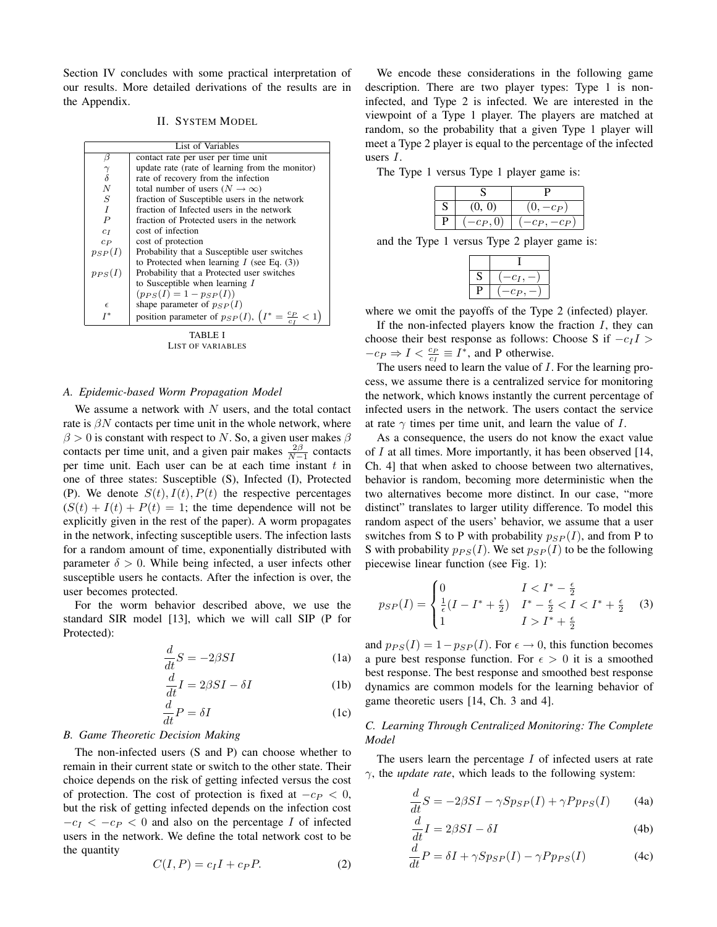Section IV concludes with some practical interpretation of our results. More detailed derivations of the results are in the Appendix.

## II. SYSTEM MODEL

| List of Variables       |                                                                              |  |
|-------------------------|------------------------------------------------------------------------------|--|
| β                       | contact rate per user per time unit                                          |  |
|                         | update rate (rate of learning from the monitor)                              |  |
| $\frac{\gamma}{\delta}$ | rate of recovery from the infection                                          |  |
| $\overline{N}$          | total number of users $(N \to \infty)$                                       |  |
| $\boldsymbol{S}$        | fraction of Susceptible users in the network                                 |  |
| $\overline{I}$          | fraction of Infected users in the network                                    |  |
| $\boldsymbol{P}$        | fraction of Protected users in the network                                   |  |
| $c_I$                   | cost of infection                                                            |  |
| $c_{P}$                 | cost of protection                                                           |  |
| $p_{SP}(I)$             | Probability that a Susceptible user switches                                 |  |
|                         | to Protected when learning $I$ (see Eq. (3))                                 |  |
| $p_{PS}(I)$             | Probability that a Protected user switches                                   |  |
|                         | to Susceptible when learning $I$                                             |  |
|                         | $(p_{PS}(I) = 1 - p_{SP}(I))$                                                |  |
| $\epsilon$              | shape parameter of $p_{SP}(I)$                                               |  |
| T*                      | position parameter of $p_{SP}(I)$ , $\left(I^* = \frac{c_P}{c_I} < 1\right)$ |  |
|                         |                                                                              |  |

TABLE I LIST OF VARIABLES

## *A. Epidemic-based Worm Propagation Model*

We assume a network with  $N$  users, and the total contact rate is  $\beta N$  contacts per time unit in the whole network, where  $\beta > 0$  is constant with respect to N. So, a given user makes  $\beta$ contacts per time unit, and a given pair makes  $\frac{2\beta}{N-1}$  contacts per time unit. Each user can be at each time instant  $t$  in one of three states: Susceptible (S), Infected (I), Protected (P). We denote  $S(t)$ ,  $I(t)$ ,  $P(t)$  the respective percentages  $(S(t) + I(t) + P(t) = 1$ ; the time dependence will not be explicitly given in the rest of the paper). A worm propagates in the network, infecting susceptible users. The infection lasts for a random amount of time, exponentially distributed with parameter  $\delta > 0$ . While being infected, a user infects other susceptible users he contacts. After the infection is over, the user becomes protected.

For the worm behavior described above, we use the standard SIR model [13], which we will call SIP (P for Protected):

$$
\frac{d}{dt}S = -2\beta SI\tag{1a}
$$

$$
\frac{d}{dt}I = 2\beta SI - \delta I\tag{1b}
$$

$$
\frac{d}{dt}P = \delta I\tag{1c}
$$

# *B. Game Theoretic Decision Making*

The non-infected users (S and P) can choose whether to remain in their current state or switch to the other state. Their choice depends on the risk of getting infected versus the cost of protection. The cost of protection is fixed at  $-c_P < 0$ , but the risk of getting infected depends on the infection cost  $-c_I < -c_P < 0$  and also on the percentage I of infected users in the network. We define the total network cost to be the quantity

$$
C(I, P) = c_I I + c_P P.
$$
 (2)

We encode these considerations in the following game description. There are two player types: Type 1 is noninfected, and Type 2 is infected. We are interested in the viewpoint of a Type 1 player. The players are matched at random, so the probability that a given Type 1 player will meet a Type 2 player is equal to the percentage of the infected users I.

The Type 1 versus Type 1 player game is:

|   | (0, 0)    | $J, -c_P$ )    |
|---|-----------|----------------|
| D | $-c_P,0)$ | $(-c_P, -c_P)$ |

and the Type 1 versus Type 2 player game is:

| - C 1 |
|-------|
| -C P  |

where we omit the payoffs of the Type 2 (infected) player.

If the non-infected players know the fraction  $I$ , they can choose their best response as follows: Choose S if  $-c_I I$  >  $-c_P \Rightarrow I < \frac{c_P}{c_I} \equiv I^*$ , and P otherwise.

The users need to learn the value of I. For the learning process, we assume there is a centralized service for monitoring the network, which knows instantly the current percentage of infected users in the network. The users contact the service at rate  $\gamma$  times per time unit, and learn the value of I.

As a consequence, the users do not know the exact value of  $I$  at all times. More importantly, it has been observed [14, Ch. 4] that when asked to choose between two alternatives, behavior is random, becoming more deterministic when the two alternatives become more distinct. In our case, "more distinct" translates to larger utility difference. To model this random aspect of the users' behavior, we assume that a user switches from S to P with probability  $p_{SP}(I)$ , and from P to S with probability  $p_{PS}(I)$ . We set  $p_{SP}(I)$  to be the following piecewise linear function (see Fig. 1):

$$
p_{SP}(I) = \begin{cases} 0 & I < I^* - \frac{\epsilon}{2} \\ \frac{1}{\epsilon}(I - I^* + \frac{\epsilon}{2}) & I^* - \frac{\epsilon}{2} < I < I^* + \frac{\epsilon}{2} \\ 1 & I > I^* + \frac{\epsilon}{2} \end{cases}
$$
 (3)

and  $p_{PS}(I) = 1-p_{SP}(I)$ . For  $\epsilon \rightarrow 0$ , this function becomes a pure best response function. For  $\epsilon > 0$  it is a smoothed best response. The best response and smoothed best response dynamics are common models for the learning behavior of game theoretic users [14, Ch. 3 and 4].

# *C. Learning Through Centralized Monitoring: The Complete Model*

The users learn the percentage  $I$  of infected users at rate  $\gamma$ , the *update rate*, which leads to the following system:

$$
\frac{d}{dt}S = -2\beta SI - \gamma Sp_{SP}(I) + \gamma P p_{PS}(I) \tag{4a}
$$

$$
\frac{d}{dt}I = 2\beta SI - \delta I\tag{4b}
$$

$$
\frac{d}{dt}P = \delta I + \gamma Sp_{SP}(I) - \gamma P p_{PS}(I) \tag{4c}
$$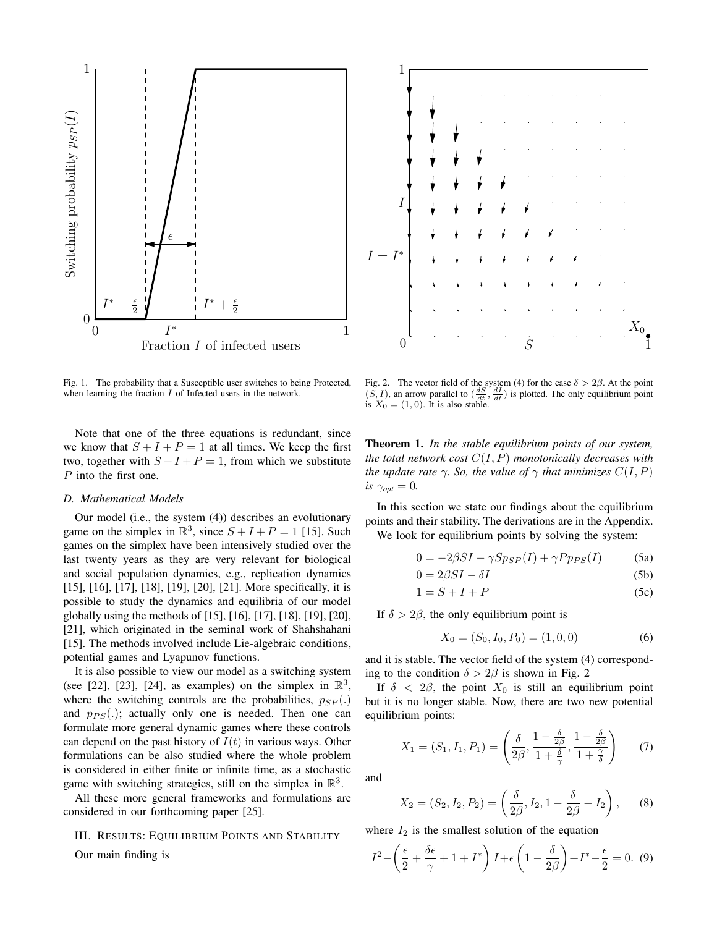

Fig. 1. The probability that a Susceptible user switches to being Protected, when learning the fraction  $I$  of Infected users in the network.

Note that one of the three equations is redundant, since we know that  $S + I + P = 1$  at all times. We keep the first two, together with  $S + I + P = 1$ , from which we substitute P into the first one.

#### *D. Mathematical Models*

Our model (i.e., the system (4)) describes an evolutionary game on the simplex in  $\mathbb{R}^3$ , since  $S + I + P = 1$  [15]. Such games on the simplex have been intensively studied over the last twenty years as they are very relevant for biological and social population dynamics, e.g., replication dynamics [15], [16], [17], [18], [19], [20], [21]. More specifically, it is possible to study the dynamics and equilibria of our model globally using the methods of [15], [16], [17], [18], [19], [20], [21], which originated in the seminal work of Shahshahani [15]. The methods involved include Lie-algebraic conditions, potential games and Lyapunov functions.

It is also possible to view our model as a switching system (see [22], [23], [24], as examples) on the simplex in  $\mathbb{R}^3$ , where the switching controls are the probabilities,  $p_{SP}$ . and  $p_{PS}(.)$ ; actually only one is needed. Then one can formulate more general dynamic games where these controls can depend on the past history of  $I(t)$  in various ways. Other formulations can be also studied where the whole problem is considered in either finite or infinite time, as a stochastic game with switching strategies, still on the simplex in  $\mathbb{R}^3$ .

All these more general frameworks and formulations are considered in our forthcoming paper [25].

## III. RESULTS: EQUILIBRIUM POINTS AND STABILITY

Our main finding is

I S  $X_{0}% ^{N}=\left\{ \begin{array}{cc} N_{11} & N_{12} & N_{13} \ N_{11} & N_{12} & N_{13} \end{array} \right.$  $I = I$ ∗  $\theta$ 1 1

Fig. 2. The vector field of the system (4) for the case  $\delta > 2\beta$ . At the point  $(S, I)$ , an arrow parallel to  $\left(\frac{dS}{dt}, \frac{dI}{dt}\right)$  is plotted. The only equilibrium point is  $X_0 = (1, 0)$ . It is also stable.

Theorem 1. *In the stable equilibrium points of our system, the total network cost* C(I, P) *monotonically decreases with the update rate*  $\gamma$ *. So, the value of*  $\gamma$  *that minimizes*  $C(I, P)$ *is*  $\gamma_{opt} = 0$ .

In this section we state our findings about the equilibrium points and their stability. The derivations are in the Appendix. We look for equilibrium points by solving the system:

$$
0 = -2\beta SI - \gamma Sp_{SP}(I) + \gamma P p_{PS}(I) \tag{5a}
$$

$$
0 = 2\beta SI - \delta I \tag{5b}
$$

$$
1 = S + I + P \tag{5c}
$$

If  $\delta > 2\beta$ , the only equilibrium point is

$$
X_0 = (S_0, I_0, P_0) = (1, 0, 0)
$$
\n(6)

and it is stable. The vector field of the system (4) corresponding to the condition  $\delta > 2\beta$  is shown in Fig. 2

If  $\delta$  < 2 $\beta$ , the point  $X_0$  is still an equilibrium point but it is no longer stable. Now, there are two new potential equilibrium points:

$$
X_1 = (S_1, I_1, P_1) = \left(\frac{\delta}{2\beta}, \frac{1 - \frac{\delta}{2\beta}}{1 + \frac{\delta}{\gamma}}, \frac{1 - \frac{\delta}{2\beta}}{1 + \frac{\gamma}{\delta}}\right) \tag{7}
$$

and

$$
X_2 = (S_2, I_2, P_2) = \left(\frac{\delta}{2\beta}, I_2, 1 - \frac{\delta}{2\beta} - I_2\right), \quad (8)
$$

where  $I_2$  is the smallest solution of the equation

$$
I^2 - \left(\frac{\epsilon}{2} + \frac{\delta\epsilon}{\gamma} + 1 + I^*\right)I + \epsilon\left(1 - \frac{\delta}{2\beta}\right) + I^* - \frac{\epsilon}{2} = 0.
$$
 (9)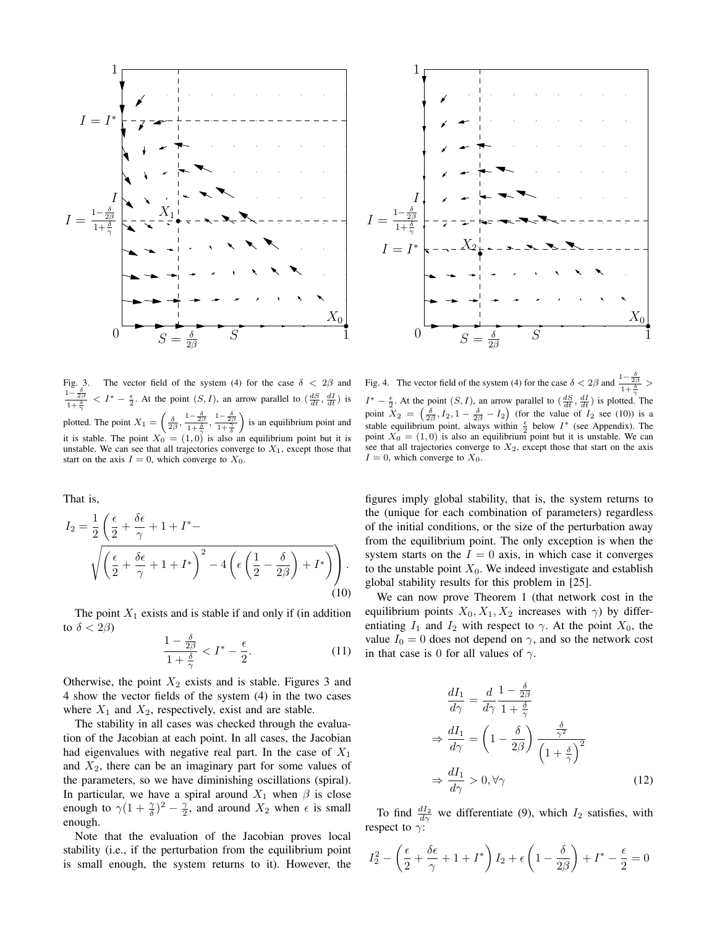



The vector field of the system (4) for the case  $\delta < 2\beta$  and  $1-\frac{\delta}{2}$  $\overline{2\beta}$  $1+\frac{\delta}{2}$ γ  $\langle I^* - \frac{\epsilon}{2} \rangle$ . At the point  $(S, I)$ , an arrow parallel to  $\left(\frac{dS}{dt}, \frac{dI}{dt}\right)$  is plotted. The point  $X_1 =$  $\left(\frac{\delta}{2\beta},\frac{1-\frac{\delta}{2\beta}}{1+\frac{\delta}{\gamma}},\frac{1-\frac{\delta}{2\beta}}{1+\frac{\gamma}{\delta}}\right)$ ´ is an equilibrium point and it is stable. The point  $X_0 = (1, 0)$  is also an equilibrium point but it is unstable. We can see that all trajectories converge to  $X_1$ , except those that start on the axis  $I = 0$ , which converge to  $X_0$ .

That is,

$$
I_2 = \frac{1}{2} \left( \frac{\epsilon}{2} + \frac{\delta \epsilon}{\gamma} + 1 + I^* - \sqrt{\left( \frac{\epsilon}{2} + \frac{\delta \epsilon}{\gamma} + 1 + I^* \right)^2 - 4 \left( \epsilon \left( \frac{1}{2} - \frac{\delta}{2\beta} \right) + I^* \right) \right). \tag{10}
$$

The point  $X_1$  exists and is stable if and only if (in addition to  $\delta < 2\beta$ )

$$
\frac{1-\frac{\delta}{2\beta}}{1+\frac{\delta}{\gamma}} < I^* - \frac{\epsilon}{2}.\tag{11}
$$

Otherwise, the point  $X_2$  exists and is stable. Figures 3 and 4 show the vector fields of the system (4) in the two cases where  $X_1$  and  $X_2$ , respectively, exist and are stable.

The stability in all cases was checked through the evaluation of the Jacobian at each point. In all cases, the Jacobian had eigenvalues with negative real part. In the case of  $X_1$ and  $X_2$ , there can be an imaginary part for some values of the parameters, so we have diminishing oscillations (spiral). In particular, we have a spiral around  $X_1$  when  $\beta$  is close enough to  $\gamma(1+\frac{\gamma}{\delta})^2-\frac{\gamma}{2}$ , and around  $X_2$  when  $\epsilon$  is small enough.

Note that the evaluation of the Jacobian proves local stability (i.e., if the perturbation from the equilibrium point is small enough, the system returns to it). However, the

Fig. 4. The vector field of the system (4) for the case  $\delta < 2\beta$  and  $\frac{1-\frac{\delta}{2\beta}}{1+\frac{\delta}{2}} >$  $I^* - \frac{\epsilon}{2}$ . At the point  $(S, I)$ , an arrow parallel to  $\left(\frac{dS}{dt}, \frac{dI}{dt}\right)$  is plotted. The point  $X_2 = \left(\frac{\delta}{2\beta}, I_2, 1 - \frac{\delta}{2\beta} - I_2\right)$  (for the value of  $I_2$  see (10)) is a stable equilibrium point, always within  $\frac{\epsilon}{2}$  below  $I^*$  (see Appendix). The point  $X_0 = (1, 0)$  is also an equilibrium point but it is unstable. We can see that all trajectories converge to  $X_2$ , except those that start on the axis  $I = 0$ , which converge to  $X_0$ .

figures imply global stability, that is, the system returns to the (unique for each combination of parameters) regardless of the initial conditions, or the size of the perturbation away from the equilibrium point. The only exception is when the system starts on the  $I = 0$  axis, in which case it converges to the unstable point  $X_0$ . We indeed investigate and establish global stability results for this problem in [25].

We can now prove Theorem 1 (that network cost in the equilibrium points  $X_0, X_1, X_2$  increases with  $\gamma$ ) by differentiating  $I_1$  and  $I_2$  with respect to  $\gamma$ . At the point  $X_0$ , the value  $I_0 = 0$  does not depend on  $\gamma$ , and so the network cost in that case is 0 for all values of  $\gamma$ .

$$
\frac{dI_1}{d\gamma} = \frac{d}{d\gamma} \frac{1 - \frac{\delta}{2\beta}}{1 + \frac{\delta}{\gamma}}
$$
\n
$$
\Rightarrow \frac{dI_1}{d\gamma} = \left(1 - \frac{\delta}{2\beta}\right) \frac{\frac{\delta}{\gamma^2}}{\left(1 + \frac{\delta}{\gamma}\right)^2}
$$
\n
$$
\Rightarrow \frac{dI_1}{d\gamma} > 0, \forall \gamma
$$
\n(12)

To find  $\frac{dI_2}{d\gamma}$  we differentiate (9), which  $I_2$  satisfies, with respect to  $\gamma$ :

$$
I_2^2 - \left(\frac{\epsilon}{2} + \frac{\delta\epsilon}{\gamma} + 1 + I^*\right)I_2 + \epsilon\left(1 - \frac{\delta}{2\beta}\right) + I^* - \frac{\epsilon}{2} = 0
$$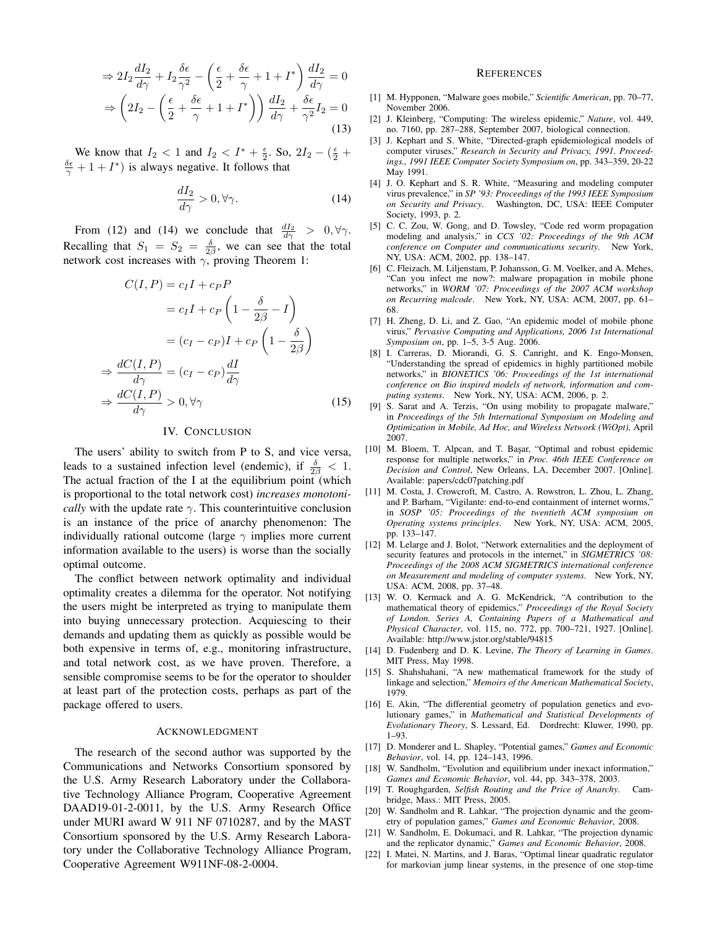$$
\Rightarrow 2I_2 \frac{dI_2}{d\gamma} + I_2 \frac{\delta \epsilon}{\gamma^2} - \left(\frac{\epsilon}{2} + \frac{\delta \epsilon}{\gamma} + 1 + I^*\right) \frac{dI_2}{d\gamma} = 0
$$

$$
\Rightarrow \left(2I_2 - \left(\frac{\epsilon}{2} + \frac{\delta \epsilon}{\gamma} + 1 + I^*\right)\right) \frac{dI_2}{d\gamma} + \frac{\delta \epsilon}{\gamma^2} I_2 = 0
$$
(13)

We know that  $I_2 < 1$  and  $I_2 < I^* + \frac{\epsilon}{2}$ . So,  $2I_2 - (\frac{\epsilon}{2} +$  $\frac{\delta \epsilon}{\gamma} + 1 + I^*$ ) is always negative. It follows that

$$
\frac{dI_2}{d\gamma} > 0, \forall \gamma.
$$
 (14)

From (12) and (14) we conclude that  $\frac{dI_2}{d\gamma} > 0, \forall \gamma$ . Recalling that  $S_1 = S_2 = \frac{\delta}{2\beta}$ , we can see that the total network cost increases with  $\gamma$ , proving Theorem 1:

$$
C(I, P) = c_I I + c_P P
$$
  
=  $c_I I + c_P \left(1 - \frac{\delta}{2\beta} - I\right)$   
=  $(c_I - c_P)I + c_P \left(1 - \frac{\delta}{2\beta}\right)$   

$$
\Rightarrow \frac{dC(I, P)}{d\gamma} = (c_I - c_P) \frac{dI}{d\gamma}
$$
  

$$
\Rightarrow \frac{dC(I, P)}{d\gamma} > 0, \forall \gamma
$$
 (15)

# IV. CONCLUSION

⇒

⇒

The users' ability to switch from P to S, and vice versa, leads to a sustained infection level (endemic), if  $\frac{\delta}{2\beta} < 1$ . The actual fraction of the I at the equilibrium point (which is proportional to the total network cost) *increases monotonically* with the update rate  $\gamma$ . This counterintuitive conclusion is an instance of the price of anarchy phenomenon: The individually rational outcome (large  $\gamma$  implies more current information available to the users) is worse than the socially optimal outcome.

The conflict between network optimality and individual optimality creates a dilemma for the operator. Not notifying the users might be interpreted as trying to manipulate them into buying unnecessary protection. Acquiescing to their demands and updating them as quickly as possible would be both expensive in terms of, e.g., monitoring infrastructure, and total network cost, as we have proven. Therefore, a sensible compromise seems to be for the operator to shoulder at least part of the protection costs, perhaps as part of the package offered to users.

## ACKNOWLEDGMENT

The research of the second author was supported by the Communications and Networks Consortium sponsored by the U.S. Army Research Laboratory under the Collaborative Technology Alliance Program, Cooperative Agreement DAAD19-01-2-0011, by the U.S. Army Research Office under MURI award W 911 NF 0710287, and by the MAST Consortium sponsored by the U.S. Army Research Laboratory under the Collaborative Technology Alliance Program, Cooperative Agreement W911NF-08-2-0004.

#### **REFERENCES**

- [1] M. Hypponen, "Malware goes mobile," *Scientific American*, pp. 70–77, November 2006.
- [2] J. Kleinberg, "Computing: The wireless epidemic," *Nature*, vol. 449, no. 7160, pp. 287–288, September 2007, biological connection.
- [3] J. Kephart and S. White, "Directed-graph epidemiological models of computer viruses," *Research in Security and Privacy, 1991. Proceedings., 1991 IEEE Computer Society Symposium on*, pp. 343–359, 20-22 May 1991.
- [4] J. O. Kephart and S. R. White, "Measuring and modeling computer virus prevalence," in *SP '93: Proceedings of the 1993 IEEE Symposium on Security and Privacy*. Washington, DC, USA: IEEE Computer Society, 1993, p. 2.
- [5] C. C. Zou, W. Gong, and D. Towsley, "Code red worm propagation modeling and analysis," in *CCS '02: Proceedings of the 9th ACM conference on Computer and communications security*. New York, NY, USA: ACM, 2002, pp. 138–147.
- [6] C. Fleizach, M. Liljenstam, P. Johansson, G. M. Voelker, and A. Mehes, "Can you infect me now?: malware propagation in mobile phone networks," in *WORM '07: Proceedings of the 2007 ACM workshop on Recurring malcode*. New York, NY, USA: ACM, 2007, pp. 61– 68.
- [7] H. Zheng, D. Li, and Z. Gao, "An epidemic model of mobile phone virus," *Pervasive Computing and Applications, 2006 1st International Symposium on*, pp. 1–5, 3-5 Aug. 2006.
- [8] I. Carreras, D. Miorandi, G. S. Canright, and K. Engo-Monsen, "Understanding the spread of epidemics in highly partitioned mobile networks," in *BIONETICS '06: Proceedings of the 1st international conference on Bio inspired models of network, information and computing systems*. New York, NY, USA: ACM, 2006, p. 2.
- [9] S. Sarat and A. Terzis, "On using mobility to propagate malware," in *Proceedings of the 5th International Symposium on Modeling and Optimization in Mobile, Ad Hoc, and Wireless Network (WiOpt)*, April 2007.
- [10] M. Bloem, T. Alpcan, and T. Başar, "Optimal and robust epidemic response for multiple networks," in *Proc. 46th IEEE Conference on Decision and Control*, New Orleans, LA, December 2007. [Online]. Available: papers/cdc07patching.pdf
- [11] M. Costa, J. Crowcroft, M. Castro, A. Rowstron, L. Zhou, L. Zhang, and P. Barham, "Vigilante: end-to-end containment of internet worms," in *SOSP '05: Proceedings of the twentieth ACM symposium on Operating systems principles*. New York, NY, USA: ACM, 2005, pp. 133–147.
- [12] M. Lelarge and J. Bolot, "Network externalities and the deployment of security features and protocols in the internet," in *SIGMETRICS '08: Proceedings of the 2008 ACM SIGMETRICS international conference on Measurement and modeling of computer systems*. New York, NY, USA: ACM, 2008, pp. 37–48.
- [13] W. O. Kermack and A. G. McKendrick, "A contribution to the mathematical theory of epidemics," *Proceedings of the Royal Society of London. Series A, Containing Papers of a Mathematical and Physical Character*, vol. 115, no. 772, pp. 700–721, 1927. [Online]. Available: http://www.jstor.org/stable/94815
- [14] D. Fudenberg and D. K. Levine, *The Theory of Learning in Games*. MIT Press, May 1998.
- [15] S. Shahshahani, "A new mathematical framework for the study of linkage and selection," *Memoirs of the American Mathematical Society*, 1979.
- [16] E. Akin, "The differential geometry of population genetics and evolutionary games," in *Mathematical and Statistical Developments of Evolutionary Theory*, S. Lessard, Ed. Dordrecht: Kluwer, 1990, pp. 1–93.
- [17] D. Monderer and L. Shapley, "Potential games," *Games and Economic Behavior*, vol. 14, pp. 124–143, 1996.
- [18] W. Sandholm, "Evolution and equilibrium under inexact information," *Games and Economic Behavior*, vol. 44, pp. 343–378, 2003.
- [19] T. Roughgarden, *Selfish Routing and the Price of Anarchy*. Cambridge, Mass.: MIT Press, 2005.
- [20] W. Sandholm and R. Lahkar, "The projection dynamic and the geometry of population games," *Games and Economic Behavior*, 2008.
- [21] W. Sandholm, E. Dokumaci, and R. Lahkar, "The projection dynamic and the replicator dynamic," *Games and Economic Behavior*, 2008.
- [22] I. Matei, N. Martins, and J. Baras, "Optimal linear quadratic regulator for markovian jump linear systems, in the presence of one stop-time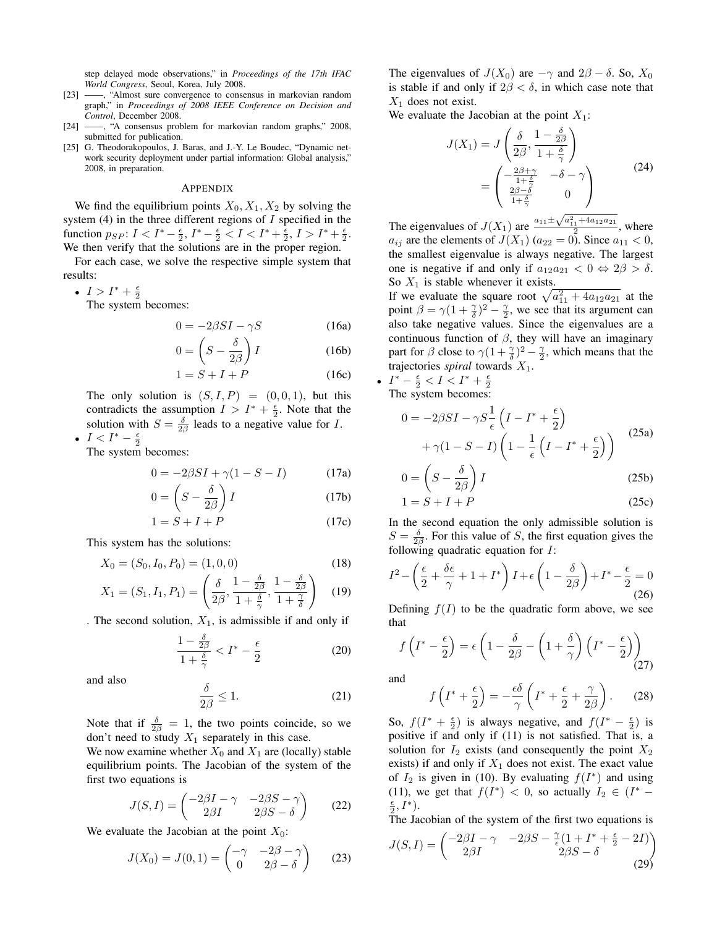step delayed mode observations," in *Proceedings of the 17th IFAC World Congress*, Seoul, Korea, July 2008.

- [23] ——, "Almost sure convergence to consensus in markovian random graph," in *Proceedings of 2008 IEEE Conference on Decision and Control*, December 2008.
- [24] ——, "A consensus problem for markovian random graphs," 2008, submitted for publication.
- [25] G. Theodorakopoulos, J. Baras, and J.-Y. Le Boudec, "Dynamic network security deployment under partial information: Global analysis," 2008, in preparation.

#### APPENDIX

We find the equilibrium points  $X_0, X_1, X_2$  by solving the system  $(4)$  in the three different regions of  $I$  specified in the function  $p_{SP}: I < I^* - \frac{\epsilon}{2}, I^* - \frac{\epsilon}{2} < I < I^* + \frac{\epsilon}{2}, I > I^* + \frac{\epsilon}{2}.$ We then verify that the solutions are in the proper region.

For each case, we solve the respective simple system that results:

•  $I > I^* + \frac{\epsilon}{2}$ 

The system becomes:

$$
0 = -2\beta SI - \gamma S \tag{16a}
$$

$$
0 = \left(S - \frac{\delta}{2\beta}\right)I\tag{16b}
$$

$$
1 = S + I + P \tag{16c}
$$

The only solution is  $(S, I, P) = (0, 0, 1)$ , but this contradicts the assumption  $I > I^* + \frac{\epsilon}{2}$ . Note that the solution with  $S = \frac{\delta}{2\beta}$  leads to a negative value for I. •  $I < I^* - \frac{\epsilon}{2}$ 

The system becomes:

$$
0 = -2\beta SI + \gamma (1 - S - I) \tag{17a}
$$

$$
0 = \left(S - \frac{\delta}{2\beta}\right)I
$$
 (17b)

$$
1 = S + I + P \tag{17c}
$$

This system has the solutions:

1 −

$$
X_0 = (S_0, I_0, P_0) = (1, 0, 0)
$$
\n(18)

$$
X_1 = (S_1, I_1, P_1) = \left(\frac{\delta}{2\beta}, \frac{1 - \frac{\delta}{2\beta}}{1 + \frac{\delta}{\gamma}}, \frac{1 - \frac{\delta}{2\beta}}{1 + \frac{\gamma}{\delta}}\right) \tag{19}
$$

. The second solution,  $X_1$ , is admissible if and only if

$$
\frac{1-\frac{\delta}{2\beta}}{1+\frac{\delta}{\gamma}} < I^* - \frac{\epsilon}{2} \tag{20}
$$

and also

$$
\frac{\delta}{2\beta} \le 1. \tag{21}
$$

Note that if  $\frac{\delta}{2\beta} = 1$ , the two points coincide, so we don't need to study  $X_1$  separately in this case.

We now examine whether  $X_0$  and  $X_1$  are (locally) stable equilibrium points. The Jacobian of the system of the first two equations is

$$
J(S, I) = \begin{pmatrix} -2\beta I - \gamma & -2\beta S - \gamma \\ 2\beta I & 2\beta S - \delta \end{pmatrix}
$$
 (22)

We evaluate the Jacobian at the point  $X_0$ :

$$
J(X_0) = J(0,1) = \begin{pmatrix} -\gamma & -2\beta - \gamma \\ 0 & 2\beta - \delta \end{pmatrix}
$$
 (23)

The eigenvalues of  $J(X_0)$  are  $-\gamma$  and  $2\beta - \delta$ . So,  $X_0$ is stable if and only if  $2\beta < \delta$ , in which case note that  $X_1$  does not exist.

We evaluate the Jacobian at the point  $X_1$ :

$$
J(X_1) = J\left(\frac{\delta}{2\beta}, \frac{1 - \frac{\delta}{2\beta}}{1 + \frac{\delta}{\gamma}}\right)
$$
  
= 
$$
\begin{pmatrix} -\frac{2\beta + \gamma}{1 + \frac{\delta}{\gamma}} & -\delta - \gamma \\ \frac{2\beta - \delta}{1 + \frac{\delta}{\gamma}} & 0 \end{pmatrix}
$$
 (24)

The eigenvalues of  $J(X_1)$  are  $\frac{a_{11} \pm \sqrt{a_{11}^2 + 4a_{12}a_{21}}}{2}$ , where  $a_{ij}$  are the elements of  $J(X_1)$  ( $a_{22} = 0$ ). Since  $a_{11} < 0$ , the smallest eigenvalue is always negative. The largest one is negative if and only if  $a_{12}a_{21} < 0 \Leftrightarrow 2\beta > \delta$ . So  $X_1$  is stable whenever it exists.

So  $X_1$  is stable whenever it exists.<br>If we evaluate the square root  $\sqrt{a_{11}^2 + 4a_{12}a_{21}}$  at the point  $\beta = \gamma(1 + \frac{\gamma}{\delta})^2 - \frac{\gamma}{2}$ , we see that its argument can also take negative values. Since the eigenvalues are a continuous function of  $\beta$ , they will have an imaginary part for  $\beta$  close to  $\gamma(1+\frac{\gamma}{\delta})^2-\frac{\gamma}{2}$ , which means that the trajectories *spiral* towards  $X_1$ .

•  $I^* - \frac{\epsilon}{2} < I < I^* + \frac{\epsilon}{2}$ The system becomes:

$$
0 = -2\beta SI - \gamma S \frac{1}{\epsilon} \left( I - I^* + \frac{\epsilon}{2} \right)
$$
  
+  $\gamma (1 - S - I) \left( 1 - \frac{1}{\epsilon} \left( I - I^* + \frac{\epsilon}{2} \right) \right)$  (25a)

$$
0 = \left(S - \frac{\delta}{2\beta}\right)I\tag{25b}
$$

$$
1 = S + I + P \tag{25c}
$$

In the second equation the only admissible solution is  $S = \frac{\delta}{2\beta}$ . For this value of S, the first equation gives the following quadratic equation for  $I$ :

$$
I^{2} - \left(\frac{\epsilon}{2} + \frac{\delta\epsilon}{\gamma} + 1 + I^{*}\right)I + \epsilon\left(1 - \frac{\delta}{2\beta}\right) + I^{*} - \frac{\epsilon}{2} = 0
$$
\n(26)

Defining  $f(I)$  to be the quadratic form above, we see that  $\overline{a}$  $\overline{a}$ 

$$
f\left(I^* - \frac{\epsilon}{2}\right) = \epsilon \left(1 - \frac{\delta}{2\beta} - \left(1 + \frac{\delta}{\gamma}\right)\left(I^* - \frac{\epsilon}{2}\right)\right)
$$
\n(27)

and

$$
f\left(I^* + \frac{\epsilon}{2}\right) = -\frac{\epsilon\delta}{\gamma}\left(I^* + \frac{\epsilon}{2} + \frac{\gamma}{2\beta}\right). \tag{28}
$$

So,  $f(I^* + \frac{\epsilon}{2})$  is always negative, and  $f(I^* - \frac{\epsilon}{2})$  is positive if and only if (11) is not satisfied. That is, a solution for  $I_2$  exists (and consequently the point  $X_2$ exists) if and only if  $X_1$  does not exist. The exact value of  $I_2$  is given in (10). By evaluating  $f(I^*)$  and using (11), we get that  $f(I^*) < 0$ , so actually  $I_2 \in (I^* - I_1)$  $\frac{\epsilon}{2}, I^*$ ).

The Jacobian of the system of the first two equations is

$$
J(S, I) = \begin{pmatrix} -2\beta I - \gamma & -2\beta S - \frac{2}{\epsilon}(1 + I^* + \frac{\epsilon}{2} - 2I) \\ 2\beta I & 2\beta S - \delta \end{pmatrix}
$$
(29)